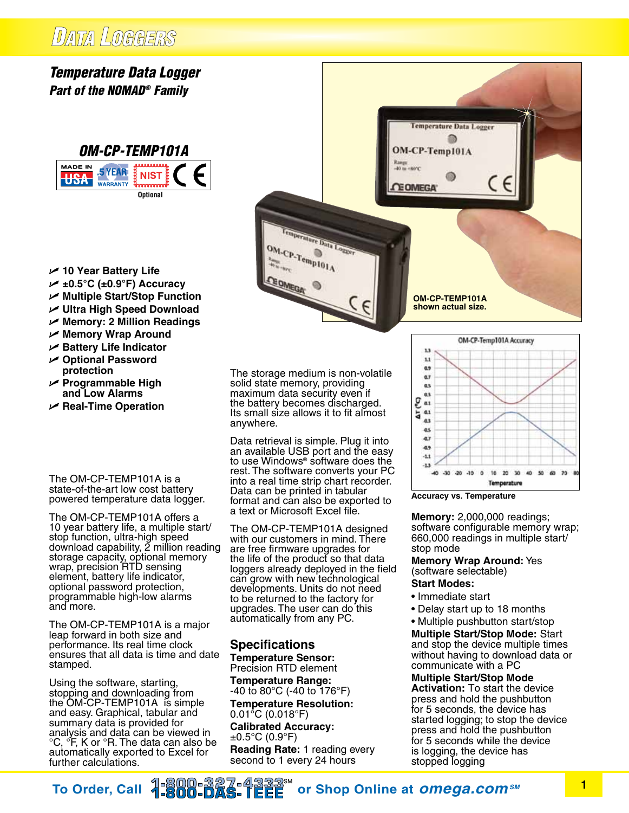## DATA LOGGERS

## *Temperature Data Logger Part of the NOMAD® Family*



- U **10 Year Battery Life**
- U **±0.5°C (±0.9°F) Accuracy**
- U **Multiple Start/Stop Function**
- U **Ultra High Speed Download**
- U **Memory: 2 Million Readings**
- U **Memory Wrap Around**
- U **Battery Life Indicator**
- U **Optional Password protection**
- U **Programmable High and Low Alarms**
- U **Real-Time Operation**

The OM-CP-TEMP101A is a state-of-the-art low cost battery powered temperature data logger.

The OM-CP-TEMP101A offers a 10 year battery life, a multiple start/ stop function, ultra-high speed download capability, 2 million reading storage capacity, optional memory wrap, precision RTD sensing element, battery life indicator, optional password protection, programmable high-low alarms and more.

The OM-CP-TEMP101A is a major leap forward in both size and performance. Its real time clock ensures that all data is time and date stamped.

Using the software, starting, stopping and downloading from the OM-CP-TEMP101A is simple and easy. Graphical, tabular and summary data is provided for analysis and data can be viewed in °C, °F, K or °R. The data can also be automatically exported to Excel for further calculations.

The storage medium is non-volatile solid state memory, providing maximum data security even if the battery becomes discharged. Its small size allows it to fit almost anywhere.

Decature Data Logger

 $\underset{\overset{h_{\text{max}}}{\rightarrow} \mathbb{C} \times \mathbb{C} \rightarrow \mathbb{C} \text{emp101A}}{\text{OM-CP-Temp101A}}$ 

OMEGA

Data retrieval is simple. Plug it into an available USB port and the easy to use Windows® software does the rest. The software converts your PC into a real time strip chart recorder. Data can be printed in tabular format and can also be exported to a text or Microsoft Excel file.

The OM-CP-TEMP101A designed with our customers in mind. There are free firmware upgrades for the life of the product so that data loggers already deployed in the field can grow with new technological developments. Units do not need to be returned to the factory for upgrades. The user can do this automatically from any PC.

## **Specifications Temperature Sensor:**

Precision RTD element

**Temperature Range:** -40 to 80°C (-40 to 176°F)

**Temperature Resolution:** 0.01°C (0.018°F) **Calibrated Accuracy:**  $±0.5$ °C (0.9°F) **Reading Rate:** 1 reading every second to 1 every 24 hours



**Accuracy vs. Temperature**

**OM-CP-TEMP101A shown actual size.**

**Temperature Data Logger** 自

OM-CP-Temp101A

**CEOMEGA** 

**Memory:** 2,000,000 readings; software configurable memory wrap; 660,000 readings in multiple start/ stop mode

**Memory Wrap Around:** Yes (software selectable)

## **Start Modes:**

- Immediate start
- Delay start up to 18 months
- Multiple pushbutton start/stop

**Multiple Start/Stop Mode:** Start and stop the device multiple times without having to download data or communicate with a PC

**Multiple Start/Stop Mode Activation:** To start the device press and hold the pushbutton for 5 seconds, the device has started logging; to stop the device press and hold the pushbutton for 5 seconds while the device is logging, the device has stopped logging